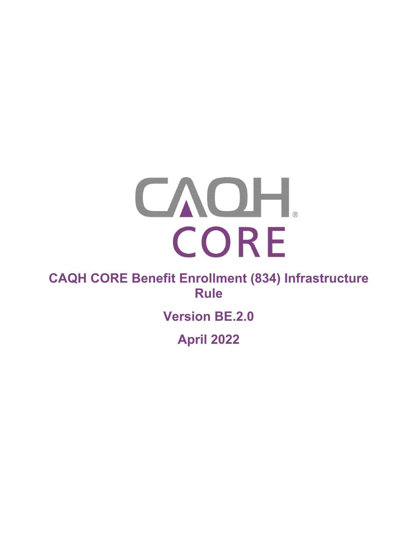# CAOH. CORE

# **CAQH CORE Benefit Enrollment (834) Infrastructure Rule**

# **Version BE.2.0**

**April 2022**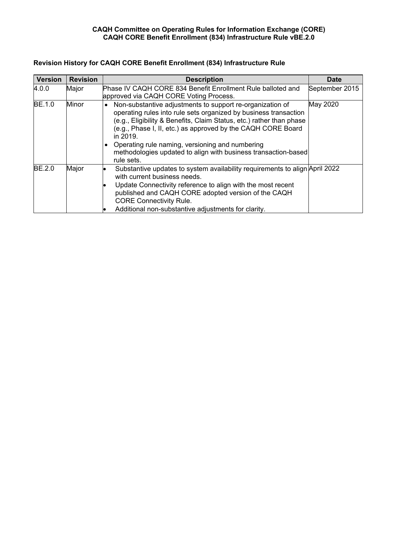# **CAQH Committee on Operating Rules for Information Exchange (CORE) CAQH CORE Benefit Enrollment (834) Infrastructure Rule vBE.2.0**

| <b>Version</b> | <b>Revision</b> | <b>Description</b>                                                                                                                                                                                                                                                                                                                                                                                                     | Date           |
|----------------|-----------------|------------------------------------------------------------------------------------------------------------------------------------------------------------------------------------------------------------------------------------------------------------------------------------------------------------------------------------------------------------------------------------------------------------------------|----------------|
| 4.0.0          | Major           | Phase IV CAQH CORE 834 Benefit Enrollment Rule balloted and<br>approved via CAQH CORE Voting Process.                                                                                                                                                                                                                                                                                                                  | September 2015 |
| <b>BE.1.0</b>  | Minor           | Non-substantive adjustments to support re-organization of<br>operating rules into rule sets organized by business transaction<br>(e.g., Eligibility & Benefits, Claim Status, etc.) rather than phase<br>(e.g., Phase I, II, etc.) as approved by the CAQH CORE Board<br>in 2019.<br>• Operating rule naming, versioning and numbering<br>methodologies updated to align with business transaction-based<br>rule sets. | May 2020       |
| <b>BE.2.0</b>  | Major           | Substantive updates to system availability requirements to align April 2022<br>with current business needs.<br>Update Connectivity reference to align with the most recent<br>published and CAQH CORE adopted version of the CAQH<br><b>CORE Connectivity Rule.</b><br>Additional non-substantive adjustments for clarity.                                                                                             |                |

# **Revision History for CAQH CORE Benefit Enrollment (834) Infrastructure Rule**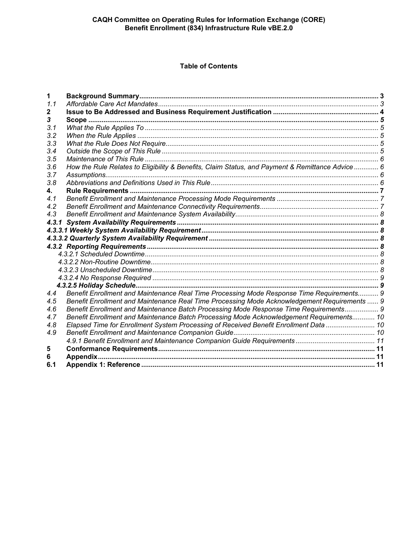**Table of Contents**

| 1     |                                                                                                  |  |
|-------|--------------------------------------------------------------------------------------------------|--|
| 1.1   |                                                                                                  |  |
|       |                                                                                                  |  |
|       |                                                                                                  |  |
| 3.1   |                                                                                                  |  |
| 3.2   |                                                                                                  |  |
| 3.3   |                                                                                                  |  |
| 3.4   |                                                                                                  |  |
| 3.5   |                                                                                                  |  |
| 3.6   | How the Rule Relates to Eligibility & Benefits, Claim Status, and Payment & Remittance Advice  6 |  |
| 3.7   |                                                                                                  |  |
| 3.8   |                                                                                                  |  |
| 4.    |                                                                                                  |  |
| 4.1   |                                                                                                  |  |
| 4.2   |                                                                                                  |  |
| 4.3   |                                                                                                  |  |
| 4.3.1 |                                                                                                  |  |
|       |                                                                                                  |  |
|       |                                                                                                  |  |
|       |                                                                                                  |  |
|       |                                                                                                  |  |
|       |                                                                                                  |  |
|       |                                                                                                  |  |
|       |                                                                                                  |  |
|       |                                                                                                  |  |
| 4.4   | Benefit Enrollment and Maintenance Real Time Processing Mode Response Time Requirements 9        |  |
| 4.5   | Benefit Enrollment and Maintenance Real Time Processing Mode Acknowledgement Requirements  9     |  |
| 4.6   | Benefit Enrollment and Maintenance Batch Processing Mode Response Time Requirements 9            |  |
| 4.7   | Benefit Enrollment and Maintenance Batch Processing Mode Acknowledgement Requirements 10         |  |
| 4.8   | Elapsed Time for Enrollment System Processing of Received Benefit Enrollment Data 10             |  |
| 4.9   |                                                                                                  |  |
|       |                                                                                                  |  |
| 5     |                                                                                                  |  |
| 6     |                                                                                                  |  |
| 6.1   |                                                                                                  |  |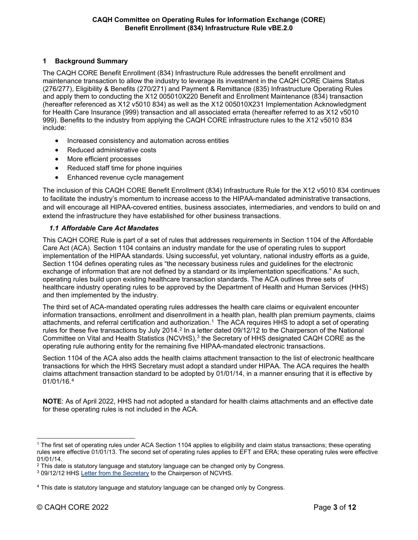# <span id="page-3-0"></span>**1 Background Summary**

The CAQH CORE Benefit Enrollment (834) Infrastructure Rule addresses the benefit enrollment and maintenance transaction to allow the industry to leverage its investment in the CAQH CORE Claims Status (276/277), Eligibility & Benefits (270/271) and Payment & Remittance (835) Infrastructure Operating Rules and apply them to conducting the X12 005010X220 Benefit and Enrollment Maintenance (834) transaction (hereafter referenced as X12 v5010 834) as well as the X12 005010X231 Implementation Acknowledgment for Health Care Insurance (999) transaction and all associated errata (hereafter referred to as X12 v5010 999). Benefits to the industry from applying the CAQH CORE infrastructure rules to the X12 v5010 834 include:

- Increased consistency and automation across entities
- Reduced administrative costs
- More efficient processes
- Reduced staff time for phone inquiries
- Enhanced revenue cycle management

The inclusion of this CAQH CORE Benefit Enrollment (834) Infrastructure Rule for the X12 v5010 834 continues to facilitate the industry's momentum to increase access to the HIPAA-mandated administrative transactions, and will encourage all HIPAA-covered entities, business associates, intermediaries, and vendors to build on and extend the infrastructure they have established for other business transactions.

# <span id="page-3-1"></span>*1.1 Affordable Care Act Mandates*

This CAQH CORE Rule is part of a set of rules that addresses requirements in Section 1104 of the Affordable Care Act (ACA). Section 1104 contains an industry mandate for the use of operating rules to support implementation of the HIPAA standards. Using successful, yet voluntary, national industry efforts as a guide, Section 1104 defines operating rules as "the necessary business rules and guidelines for the electronic exchange of information that are not defined by a standard or its implementation specifications." As such, operating rules build upon existing healthcare transaction standards. The ACA outlines three sets of healthcare industry operating rules to be approved by the Department of Health and Human Services (HHS) and then implemented by the industry.

The third set of ACA-mandated operating rules addresses the health care claims or equivalent encounter information transactions, enrollment and disenrollment in a health plan, health plan premium payments, claims attachments, and referral certification and authorization.<sup>[1](#page-3-2)</sup> The ACA requires HHS to adopt a set of operating rules for these five transactions by July [2](#page-3-3)014.<sup>2</sup> In a letter dated 09/12/12 to the Chairperson of the National Committee on Vital and Health Statistics (NCVHS), [3](#page-3-4) the Secretary of HHS designated CAQH CORE as the operating rule authoring entity for the remaining five HIPAA-mandated electronic transactions.

Section 1104 of the ACA also adds the health claims attachment transaction to the list of electronic healthcare transactions for which the HHS Secretary must adopt a standard under HIPAA. The ACA requires the health claims attachment transaction standard to be adopted by 01/01/14, in a manner ensuring that it is effective by 01/01/16. [4](#page-3-5)

**NOTE**: As of April 2022, HHS had not adopted a standard for health claims attachments and an effective date for these operating rules is not included in the ACA.

<span id="page-3-2"></span><sup>1</sup> The first set of operating rules under ACA Section 1104 applies to eligibility and claim status transactions; these operating rules were effective 01/01/13. The second set of operating rules applies to EFT and ERA; these operating rules were effective 01/01/14.

<span id="page-3-3"></span> $2$  This date is statutory language and statutory language can be changed only by Congress.

<span id="page-3-4"></span><sup>3</sup> 09/12/12 HHS [Letter from the Secretary](http://www.caqh.org/file/4115/download?token=QdUiHJ4r) to the Chairperson of NCVHS.

<span id="page-3-5"></span><sup>4</sup> This date is statutory language and statutory language can be changed only by Congress.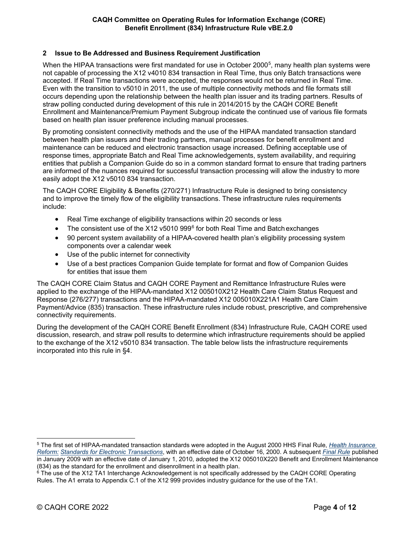# <span id="page-4-0"></span>**2 Issue to Be Addressed and Business Requirement Justification**

When the HIPAA transactions were first mandated for use in October 2000<sup>5</sup>, many health plan systems were not capable of processing the X12 v4010 834 transaction in Real Time, thus only Batch transactions were accepted. If Real Time transactions were accepted, the responses would not be returned in Real Time. Even with the transition to v5010 in 2011, the use of multiple connectivity methods and file formats still occurs depending upon the relationship between the health plan issuer and its trading partners. Results of straw polling conducted during development of this rule in 2014/2015 by the CAQH CORE Benefit Enrollment and Maintenance/Premium Payment Subgroup indicate the continued use of various file formats based on health plan issuer preference including manual processes.

By promoting consistent connectivity methods and the use of the HIPAA mandated transaction standard between health plan issuers and their trading partners, manual processes for benefit enrollment and maintenance can be reduced and electronic transaction usage increased. Defining acceptable use of response times, appropriate Batch and Real Time acknowledgements, system availability, and requiring entities that publish a Companion Guide do so in a common standard format to ensure that trading partners are informed of the nuances required for successful transaction processing will allow the industry to more easily adopt the X12 v5010 834 transaction.

The CAQH CORE Eligibility & Benefits (270/271) Infrastructure Rule is designed to bring consistency and to improve the timely flow of the eligibility transactions. These infrastructure rules requirements include:

- Real Time exchange of eligibility transactions within 20 seconds or less
- The consistent use of the X12 v5010 999 $<sup>6</sup>$  $<sup>6</sup>$  $<sup>6</sup>$  for both Real Time and Batch exchanges</sup>
- 90 percent system availability of a HIPAA-covered health plan's eligibility processing system components over a calendar week
- Use of the public internet for connectivity
- Use of a best practices Companion Guide template for format and flow of Companion Guides for entities that issue them

The CAQH CORE Claim Status and CAQH CORE Payment and Remittance Infrastructure Rules were applied to the exchange of the HIPAA-mandated X12 005010X212 Health Care Claim Status Request and Response (276/277) transactions and the HIPAA-mandated X12 005010X221A1 Health Care Claim Payment/Advice (835) transaction. These infrastructure rules include robust, prescriptive, and comprehensive connectivity requirements.

During the development of the CAQH CORE Benefit Enrollment (834) Infrastructure Rule, CAQH CORE used discussion, research, and straw poll results to determine which infrastructure requirements should be applied to the exchange of the X12 v5010 834 transaction. The table below lists the infrastructure requirements incorporated into this rule in §4.

<span id="page-4-1"></span><sup>5</sup> The first set of HIPAA-mandated transaction standards were adopted in the August 2000 HHS Final Rule, *[Health Insurance](http://www.cms.gov/Regulations-and-Guidance/HIPAA-Administrative-Simplification/TransactionCodeSetsStands/Downloads/txfinal.pdf)  [Reform:](http://www.cms.gov/Regulations-and-Guidance/HIPAA-Administrative-Simplification/TransactionCodeSetsStands/Downloads/txfinal.pdf) [Standards for Electronic Transactions](http://www.cms.gov/Regulations-and-Guidance/HIPAA-Administrative-Simplification/TransactionCodeSetsStands/Downloads/txfinal.pdf)*, with an effective date of October 16, 2000. A subsequent *[Final Rule](http://www.gpo.gov/fdsys/pkg/FR-2009-01-16/pdf/E9-740.pdf)* published in January 2009 with an effective date of January 1, 2010, adopted the X12 005010X220 Benefit and Enrollment Maintenance (834) as the standard for the enrollment and disenrollment in a health plan.

<span id="page-4-2"></span><sup>&</sup>lt;sup>6</sup> The use of the X12 TA1 Interchange Acknowledgement is not specifically addressed by the CAQH CORE Operating Rules. The A1 errata to Appendix C.1 of the X12 999 provides industry guidance for the use of the TA1.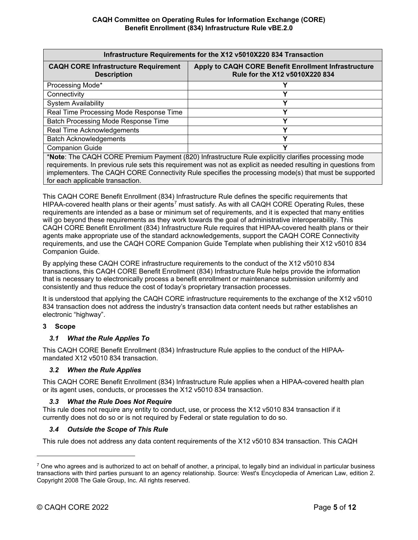| Infrastructure Requirements for the X12 v5010X220 834 Transaction                                                                                                                                                                                                                                                              |                                                                                        |  |  |  |
|--------------------------------------------------------------------------------------------------------------------------------------------------------------------------------------------------------------------------------------------------------------------------------------------------------------------------------|----------------------------------------------------------------------------------------|--|--|--|
| <b>CAQH CORE Infrastructure Requirement</b><br><b>Description</b>                                                                                                                                                                                                                                                              | Apply to CAQH CORE Benefit Enrollment Infrastructure<br>Rule for the X12 v5010X220 834 |  |  |  |
| Processing Mode*                                                                                                                                                                                                                                                                                                               |                                                                                        |  |  |  |
| Connectivity                                                                                                                                                                                                                                                                                                                   | v                                                                                      |  |  |  |
| <b>System Availability</b>                                                                                                                                                                                                                                                                                                     |                                                                                        |  |  |  |
| Real Time Processing Mode Response Time                                                                                                                                                                                                                                                                                        | v                                                                                      |  |  |  |
| <b>Batch Processing Mode Response Time</b>                                                                                                                                                                                                                                                                                     | v                                                                                      |  |  |  |
| <b>Real Time Acknowledgements</b>                                                                                                                                                                                                                                                                                              | v                                                                                      |  |  |  |
| <b>Batch Acknowledgements</b>                                                                                                                                                                                                                                                                                                  | v                                                                                      |  |  |  |
| <b>Companion Guide</b>                                                                                                                                                                                                                                                                                                         |                                                                                        |  |  |  |
| *Note: The CAQH CORE Premium Payment (820) Infrastructure Rule explicitly clarifies processing mode<br>requirements. In previous rule sets this requirement was not as explicit as needed resulting in questions from<br>implementers. The CAQH CORE Connectivity Rule specifies the processing mode(s) that must be supported |                                                                                        |  |  |  |

for each applicable transaction.

This CAQH CORE Benefit Enrollment (834) Infrastructure Rule defines the specific requirements that HIPAA-covered health plans or their agents<sup>[7](#page-5-5)</sup> must satisfy. As with all CAQH CORE Operating Rules, these requirements are intended as a base or minimum set of requirements, and it is expected that many entities will go beyond these requirements as they work towards the goal of administrative interoperability. This CAQH CORE Benefit Enrollment (834) Infrastructure Rule requires that HIPAA-covered health plans or their agents make appropriate use of the standard acknowledgements, support the CAQH CORE Connectivity requirements, and use the CAQH CORE Companion Guide Template when publishing their X12 v5010 834 Companion Guide.

By applying these CAQH CORE infrastructure requirements to the conduct of the X12 v5010 834 transactions, this CAQH CORE Benefit Enrollment (834) Infrastructure Rule helps provide the information that is necessary to electronically process a benefit enrollment or maintenance submission uniformly and consistently and thus reduce the cost of today's proprietary transaction processes.

It is understood that applying the CAQH CORE infrastructure requirements to the exchange of the X12 v5010 834 transaction does not address the industry's transaction data content needs but rather establishes an electronic "highway".

# <span id="page-5-0"></span>**3 Scope**

# <span id="page-5-1"></span>*3.1 What the Rule Applies To*

This CAQH CORE Benefit Enrollment (834) Infrastructure Rule applies to the conduct of the HIPAAmandated X12 v5010 834 transaction.

# <span id="page-5-2"></span>*3.2 When the Rule Applies*

This CAQH CORE Benefit Enrollment (834) Infrastructure Rule applies when a HIPAA-covered health plan or its agent uses, conducts, or processes the X12 v5010 834 transaction.

## *3.3 What the Rule Does Not Require*

<span id="page-5-3"></span>This rule does not require any entity to conduct, use, or process the X12 v5010 834 transaction if it currently does not do so or is not required by Federal or state regulation to do so.

## <span id="page-5-4"></span>*3.4 Outside the Scope of This Rule*

This rule does not address any data content requirements of the X12 v5010 834 transaction. This CAQH

<span id="page-5-5"></span> $7$  One who agrees and is authorized to act on behalf of another, a principal, to legally bind an individual in particular business transactions with third parties pursuant to an agency relationship. Source: West's Encyclopedia of American Law, edition 2. Copyright 2008 The Gale Group, Inc. All rights reserved.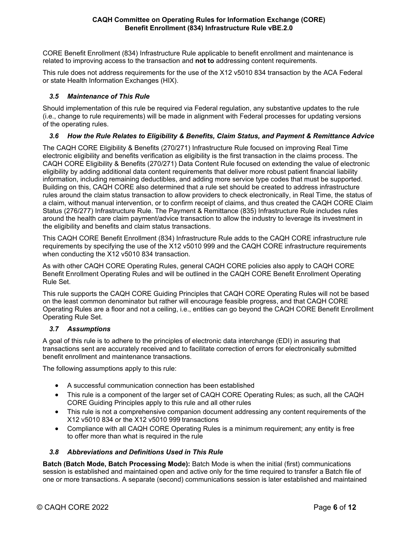# **CAQH Committee on Operating Rules for Information Exchange (CORE) Benefit Enrollment (834) Infrastructure Rule vBE.2.0**

CORE Benefit Enrollment (834) Infrastructure Rule applicable to benefit enrollment and maintenance is related to improving access to the transaction and **not to** addressing content requirements.

This rule does not address requirements for the use of the X12 v5010 834 transaction by the ACA Federal or state Health Information Exchanges (HIX).

# <span id="page-6-0"></span>*3.5 Maintenance of This Rule*

Should implementation of this rule be required via Federal regulation, any substantive updates to the rule (i.e., change to rule requirements) will be made in alignment with Federal processes for updating versions of the operating rules.

# <span id="page-6-1"></span>*3.6 How the Rule Relates to Eligibility & Benefits, Claim Status, and Payment & Remittance Advice*

The CAQH CORE Eligibility & Benefits (270/271) Infrastructure Rule focused on improving Real Time electronic eligibility and benefits verification as eligibility is the first transaction in the claims process. The CAQH CORE Eligibility & Benefits (270/271) Data Content Rule focused on extending the value of electronic eligibility by adding additional data content requirements that deliver more robust patient financial liability information, including remaining deductibles, and adding more service type codes that must be supported. Building on this, CAQH CORE also determined that a rule set should be created to address infrastructure rules around the claim status transaction to allow providers to check electronically, in Real Time, the status of a claim, without manual intervention, or to confirm receipt of claims, and thus created the CAQH CORE Claim Status (276/277) Infrastructure Rule. The Payment & Remittance (835) Infrastructure Rule includes rules around the health care claim payment/advice transaction to allow the industry to leverage its investment in the eligibility and benefits and claim status transactions.

This CAQH CORE Benefit Enrollment (834) Infrastructure Rule adds to the CAQH CORE infrastructure rule requirements by specifying the use of the X12 v5010 999 and the CAQH CORE infrastructure requirements when conducting the X12 v5010 834 transaction.

As with other CAQH CORE Operating Rules, general CAQH CORE policies also apply to CAQH CORE Benefit Enrollment Operating Rules and will be outlined in the CAQH CORE Benefit Enrollment Operating Rule Set.

This rule supports the CAQH CORE Guiding Principles that CAQH CORE Operating Rules will not be based on the least common denominator but rather will encourage feasible progress, and that CAQH CORE Operating Rules are a floor and not a ceiling, i.e., entities can go beyond the CAQH CORE Benefit Enrollment Operating Rule Set.

## <span id="page-6-2"></span>*3.7 Assumptions*

A goal of this rule is to adhere to the principles of electronic data interchange (EDI) in assuring that transactions sent are accurately received and to facilitate correction of errors for electronically submitted benefit enrollment and maintenance transactions.

The following assumptions apply to this rule:

- A successful communication connection has been established
- This rule is a component of the larger set of CAQH CORE Operating Rules; as such, all the CAQH CORE Guiding Principles apply to this rule and all other rules
- This rule is not a comprehensive companion document addressing any content requirements of the X12 v5010 834 or the X12 v5010 999 transactions
- Compliance with all CAQH CORE Operating Rules is a minimum requirement; any entity is free to offer more than what is required in the rule

## <span id="page-6-3"></span>*3.8 Abbreviations and Definitions Used in This Rule*

**Batch (Batch Mode, Batch Processing Mode):** Batch Mode is when the initial (first) communications session is established and maintained open and active only for the time required to transfer a Batch file of one or more transactions. A separate (second) communications session is later established and maintained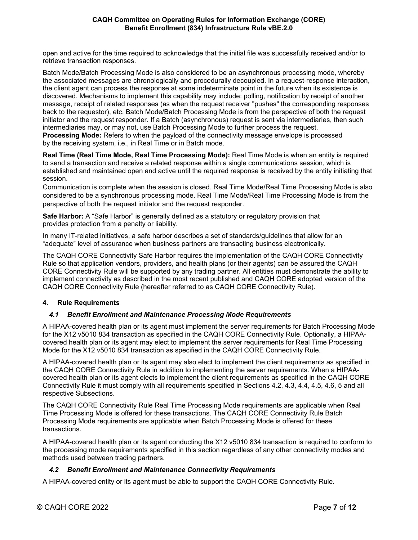open and active for the time required to acknowledge that the initial file was successfully received and/or to retrieve transaction responses.

Batch Mode/Batch Processing Mode is also considered to be an asynchronous processing mode, whereby the associated messages are chronologically and procedurally decoupled. In a request-response interaction, the client agent can process the response at some indeterminate point in the future when its existence is discovered. Mechanisms to implement this capability may include: polling, notification by receipt of another message, receipt of related responses (as when the request receiver "pushes" the corresponding responses back to the requestor), etc. Batch Mode/Batch Processing Mode is from the perspective of both the request initiator and the request responder. If a Batch (asynchronous) request is sent via intermediaries, then such intermediaries may, or may not, use Batch Processing Mode to further process the request. **Processing Mode:** Refers to when the payload of the connectivity message envelope is processed by the receiving system, i.e., in Real Time or in Batch mode.

**Real Time (Real Time Mode, Real Time Processing Mode):** Real Time Mode is when an entity is required to send a transaction and receive a related response within a single communications session, which is established and maintained open and active until the required response is received by the entity initiating that session.

Communication is complete when the session is closed. Real Time Mode/Real Time Processing Mode is also considered to be a synchronous processing mode. Real Time Mode/Real Time Processing Mode is from the perspective of both the request initiator and the request responder.

**Safe Harbor:** A "Safe Harbor" is generally defined as a statutory or regulatory provision that provides protection from a penalty or liability.

In many IT-related initiatives, a safe harbor describes a set of standards/guidelines that allow for an "adequate" level of assurance when business partners are transacting business electronically.

The CAQH CORE Connectivity Safe Harbor requires the implementation of the CAQH CORE Connectivity Rule so that application vendors, providers, and health plans (or their agents) can be assured the CAQH CORE Connectivity Rule will be supported by any trading partner. All entities must demonstrate the ability to implement connectivity as described in the most recent published and CAQH CORE adopted version of the CAQH CORE Connectivity Rule (hereafter referred to as CAQH CORE Connectivity Rule).

# <span id="page-7-0"></span>**4. Rule Requirements**

# <span id="page-7-1"></span>*4.1 Benefit Enrollment and Maintenance Processing Mode Requirements*

A HIPAA-covered health plan or its agent must implement the server requirements for Batch Processing Mode for the X12 v5010 834 transaction as specified in the CAQH CORE Connectivity Rule. Optionally, a HIPAAcovered health plan or its agent may elect to implement the server requirements for Real Time Processing Mode for the X12 v5010 834 transaction as specified in the CAQH CORE Connectivity Rule.

A HIPAA-covered health plan or its agent may also elect to implement the client requirements as specified in the CAQH CORE Connectivity Rule in addition to implementing the server requirements. When a HIPAAcovered health plan or its agent elects to implement the client requirements as specified in the CAQH CORE Connectivity Rule it must comply with all requirements specified in Sections 4.2, 4.3, 4.4, 4.5, 4.6, 5 and all respective Subsections.

The CAQH CORE Connectivity Rule Real Time Processing Mode requirements are applicable when Real Time Processing Mode is offered for these transactions. The CAQH CORE Connectivity Rule Batch Processing Mode requirements are applicable when Batch Processing Mode is offered for these transactions.

A HIPAA-covered health plan or its agent conducting the X12 v5010 834 transaction is required to conform to the processing mode requirements specified in this section regardless of any other connectivity modes and methods used between trading partners.

## <span id="page-7-2"></span>*4.2 Benefit Enrollment and Maintenance Connectivity Requirements*

A HIPAA-covered entity or its agent must be able to support the CAQH CORE Connectivity Rule.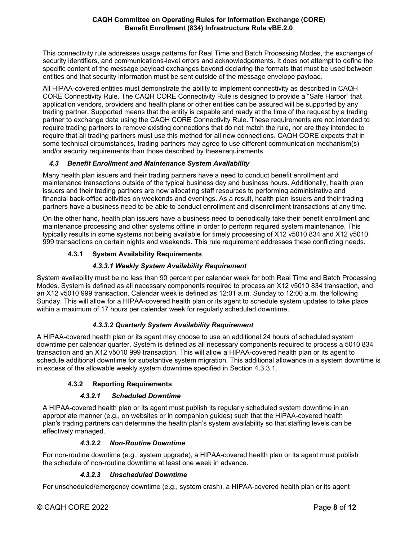This connectivity rule addresses usage patterns for Real Time and Batch Processing Modes, the exchange of security identifiers, and communications-level errors and acknowledgements. It does not attempt to define the specific content of the message payload exchanges beyond declaring the formats that must be used between entities and that security information must be sent outside of the message envelope payload.

All HIPAA-covered entities must demonstrate the ability to implement connectivity as described in CAQH CORE Connectivity Rule. The CAQH CORE Connectivity Rule is designed to provide a "Safe Harbor" that application vendors, providers and health plans or other entities can be assured will be supported by any trading partner. Supported means that the entity is capable and ready at the time of the request by a trading partner to exchange data using the CAQH CORE Connectivity Rule. These requirements are not intended to require trading partners to remove existing connections that do not match the rule, nor are they intended to require that all trading partners must use this method for all new connections. CAQH CORE expects that in some technical circumstances, trading partners may agree to use different communication mechanism(s) and/or security requirements than those described by theserequirements.

# <span id="page-8-0"></span>*4.3 Benefit Enrollment and Maintenance System Availability*

Many health plan issuers and their trading partners have a need to conduct benefit enrollment and maintenance transactions outside of the typical business day and business hours. Additionally, health plan issuers and their trading partners are now allocating staff resources to performing administrative and financial back-office activities on weekends and evenings. As a result, health plan issuers and their trading partners have a business need to be able to conduct enrollment and disenrollment transactions at any time.

On the other hand, health plan issuers have a business need to periodically take their benefit enrollment and maintenance processing and other systems offline in order to perform required system maintenance. This typically results in some systems not being available for timely processing of X12 v5010 834 and X12 v5010 999 transactions on certain nights and weekends. This rule requirement addresses these conflicting needs.

# **4.3.1 System Availability Requirements**

# *4.3.3.1 Weekly System Availability Requirement*

<span id="page-8-2"></span><span id="page-8-1"></span>System availability must be no less than 90 percent per calendar week for both Real Time and Batch Processing Modes. System is defined as all necessary components required to process an X12 v5010 834 transaction, and an X12 v5010 999 transaction. Calendar week is defined as 12:01 a.m. Sunday to 12:00 a.m. the following Sunday. This will allow for a HIPAA-covered health plan or its agent to schedule system updates to take place within a maximum of 17 hours per calendar week for regularly scheduled downtime.

# *4.3.3.2 Quarterly System Availability Requirement*

<span id="page-8-3"></span>A HIPAA-covered health plan or its agent may choose to use an additional 24 hours of scheduled system downtime per calendar quarter. System is defined as all necessary components required to process a 5010 834 transaction and an X12 v5010 999 transaction. This will allow a HIPAA-covered health plan or its agent to schedule additional downtime for substantive system migration. This additional allowance in a system downtime is in excess of the allowable weekly system downtime specified in Section 4.3.3.1.

# **4.3.2 Reporting Requirements**

# *4.3.2.1 Scheduled Downtime*

<span id="page-8-5"></span><span id="page-8-4"></span>A HIPAA-covered health plan or its agent must publish its regularly scheduled system downtime in an appropriate manner (e.g., on websites or in companion guides) such that the HIPAA-covered health plan's trading partners can determine the health plan's system availability so that staffing levels can be effectively managed.

# *4.3.2.2 Non-Routine Downtime*

<span id="page-8-6"></span>For non-routine downtime (e.g., system upgrade), a HIPAA-covered health plan or its agent must publish the schedule of non-routine downtime at least one week in advance.

# *4.3.2.3 Unscheduled Downtime*

<span id="page-8-7"></span>For unscheduled/emergency downtime (e.g., system crash), a HIPAA-covered health plan or its agent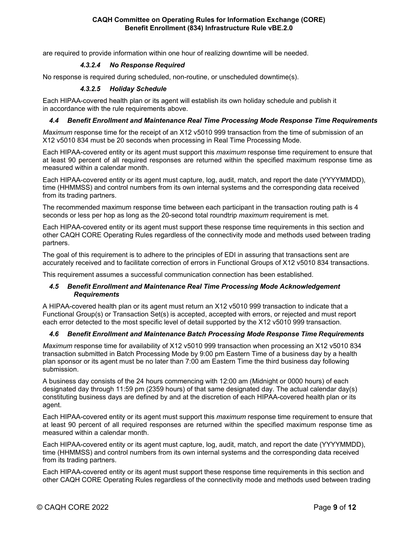<span id="page-9-0"></span>are required to provide information within one hour of realizing downtime will be needed.

# *4.3.2.4 No Response Required*

<span id="page-9-1"></span>No response is required during scheduled, non-routine, or unscheduled downtime(s).

# *4.3.2.5 Holiday Schedule*

Each HIPAA-covered health plan or its agent will establish its own holiday schedule and publish it in accordance with the rule requirements above.

# <span id="page-9-2"></span>*4.4 Benefit Enrollment and Maintenance Real Time Processing Mode Response Time Requirements*

*Maximum* response time for the receipt of an X12 v5010 999 transaction from the time of submission of an X12 v5010 834 must be 20 seconds when processing in Real Time Processing Mode.

Each HIPAA-covered entity or its agent must support this *maximum* response time requirement to ensure that at least 90 percent of all required responses are returned within the specified maximum response time as measured within a calendar month.

Each HIPAA-covered entity or its agent must capture, log, audit, match, and report the date (YYYYMMDD), time (HHMMSS) and control numbers from its own internal systems and the corresponding data received from its trading partners.

The recommended maximum response time between each participant in the transaction routing path is 4 seconds or less per hop as long as the 20-second total roundtrip *maximum* requirement is met.

Each HIPAA-covered entity or its agent must support these response time requirements in this section and other CAQH CORE Operating Rules regardless of the connectivity mode and methods used between trading partners.

The goal of this requirement is to adhere to the principles of EDI in assuring that transactions sent are accurately received and to facilitate correction of errors in Functional Groups of X12 v5010 834 transactions.

<span id="page-9-3"></span>This requirement assumes a successful communication connection has been established.

## *4.5 Benefit Enrollment and Maintenance Real Time Processing Mode Acknowledgement Requirements*

A HIPAA-covered health plan or its agent must return an X12 v5010 999 transaction to indicate that a Functional Group(s) or Transaction Set(s) is accepted, accepted with errors, or rejected and must report each error detected to the most specific level of detail supported by the X12 v5010 999 transaction.

## <span id="page-9-4"></span>*4.6 Benefit Enrollment and Maintenance Batch Processing Mode Response Time Requirements*

*Maximum* response time for availability of X12 v5010 999 transaction when processing an X12 v5010 834 transaction submitted in Batch Processing Mode by 9:00 pm Eastern Time of a business day by a health plan sponsor or its agent must be no later than 7:00 am Eastern Time the third business day following submission.

A business day consists of the 24 hours commencing with 12:00 am (Midnight or 0000 hours) of each designated day through 11:59 pm (2359 hours) of that same designated day. The actual calendar day(s) constituting business days are defined by and at the discretion of each HIPAA-covered health plan or its agent.

Each HIPAA-covered entity or its agent must support this *maximum* response time requirement to ensure that at least 90 percent of all required responses are returned within the specified maximum response time as measured within a calendar month.

Each HIPAA-covered entity or its agent must capture, log, audit, match, and report the date (YYYYMMDD), time (HHMMSS) and control numbers from its own internal systems and the corresponding data received from its trading partners.

Each HIPAA-covered entity or its agent must support these response time requirements in this section and other CAQH CORE Operating Rules regardless of the connectivity mode and methods used between trading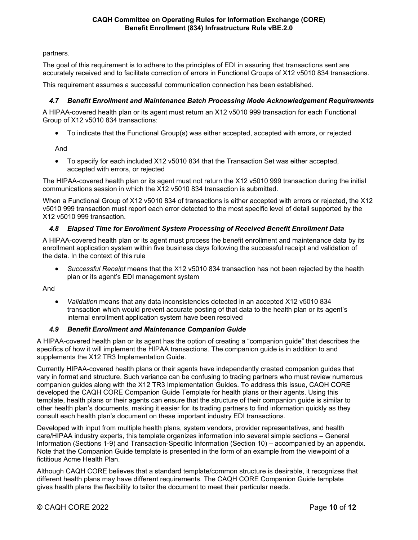partners.

The goal of this requirement is to adhere to the principles of EDI in assuring that transactions sent are accurately received and to facilitate correction of errors in Functional Groups of X12 v5010 834 transactions.

This requirement assumes a successful communication connection has been established.

# <span id="page-10-0"></span>*4.7 Benefit Enrollment and Maintenance Batch Processing Mode Acknowledgement Requirements*

A HIPAA-covered health plan or its agent must return an X12 v5010 999 transaction for each Functional Group of X12 v5010 834 transactions:

• To indicate that the Functional Group(s) was either accepted, accepted with errors, or rejected

And

• To specify for each included X12 v5010 834 that the Transaction Set was either accepted, accepted with errors, or rejected

The HIPAA-covered health plan or its agent must not return the X12 v5010 999 transaction during the initial communications session in which the X12 v5010 834 transaction is submitted.

When a Functional Group of X12 v5010 834 of transactions is either accepted with errors or rejected, the X12 v5010 999 transaction must report each error detected to the most specific level of detail supported by the X12 v5010 999 transaction.

# <span id="page-10-1"></span>*4.8 Elapsed Time for Enrollment System Processing of Received Benefit Enrollment Data*

A HIPAA-covered health plan or its agent must process the benefit enrollment and maintenance data by its enrollment application system within five business days following the successful receipt and validation of the data. In the context of this rule

• *Successful Receipt* means that the X12 v5010 834 transaction has not been rejected by the health plan or its agent's EDI management system

And

• *Validation* means that any data inconsistencies detected in an accepted X12 v5010 834 transaction which would prevent accurate posting of that data to the health plan or its agent's internal enrollment application system have been resolved

## *4.9 Benefit Enrollment and Maintenance Companion Guide*

<span id="page-10-2"></span>A HIPAA-covered health plan or its agent has the option of creating a "companion guide" that describes the specifics of how it will implement the HIPAA transactions. The companion guide is in addition to and supplements the X12 TR3 Implementation Guide.

Currently HIPAA-covered health plans or their agents have independently created companion guides that vary in format and structure. Such variance can be confusing to trading partners who must review numerous companion guides along with the X12 TR3 Implementation Guides. To address this issue, CAQH CORE developed the CAQH CORE Companion Guide Template for health plans or their agents. Using this template, health plans or their agents can ensure that the structure of their companion guide is similar to other health plan's documents, making it easier for its trading partners to find information quickly as they consult each health plan's document on these important industry EDI transactions.

Developed with input from multiple health plans, system vendors, provider representatives, and health care/HIPAA industry experts, this template organizes information into several simple sections – General Information (Sections 1-9) and Transaction-Specific Information (Section 10) – accompanied by an appendix. Note that the Companion Guide template is presented in the form of an example from the viewpoint of a fictitious Acme Health Plan.

Although CAQH CORE believes that a standard template/common structure is desirable, it recognizes that different health plans may have different requirements. The CAQH CORE Companion Guide template gives health plans the flexibility to tailor the document to meet their particular needs.